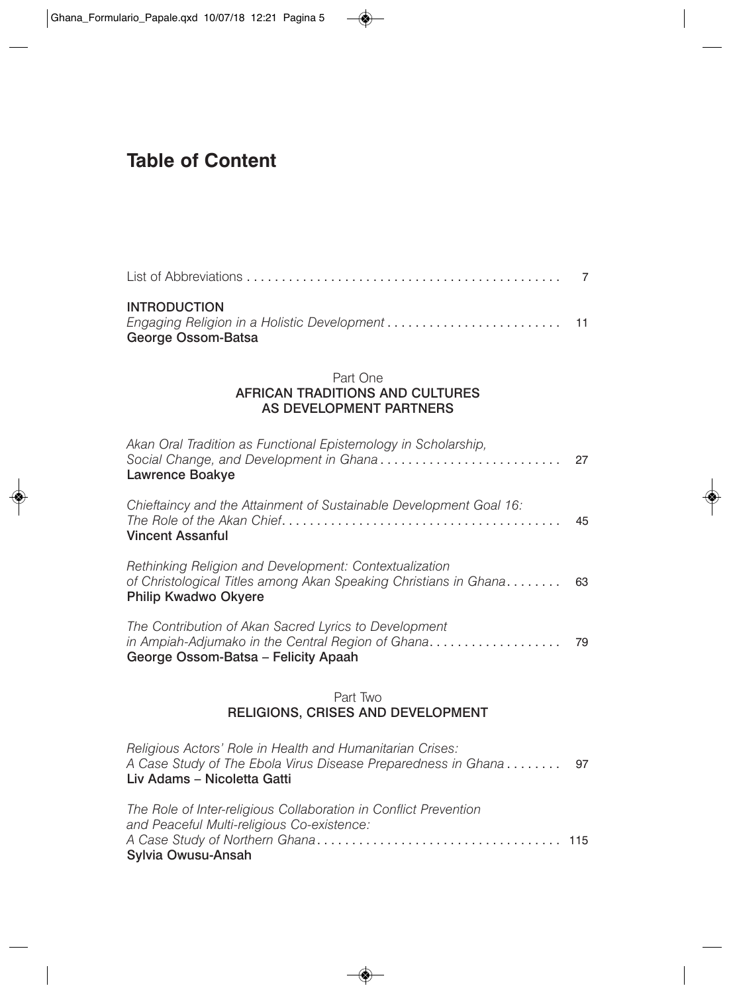## **Table of Content**

| <b>INTRODUCTION</b><br>George Ossom-Batsa |  |
|-------------------------------------------|--|

## Part One AFRICAN TRADITIONS AND CULTURES AS DEVELOPMENT PARTNERS

| Akan Oral Tradition as Functional Epistemology in Scholarship,<br>Social Change, and Development in Ghana<br>Lawrence Boakye                              | 27 |
|-----------------------------------------------------------------------------------------------------------------------------------------------------------|----|
| Chieftaincy and the Attainment of Sustainable Development Goal 16:<br><b>Vincent Assanful</b>                                                             | 45 |
| Rethinking Religion and Development: Contextualization<br>of Christological Titles among Akan Speaking Christians in Ghana<br><b>Philip Kwadwo Okyere</b> | 63 |
| The Contribution of Akan Sacred Lyrics to Development<br>in Ampiah-Adjumako in the Central Region of Ghana<br>George Ossom-Batsa - Felicity Apaah         | 79 |
| Part Two<br>RELIGIONS, CRISES AND DEVELOPMENT                                                                                                             |    |
| Religious Actors' Role in Health and Humanitarian Crises:<br>A Case Study of The Ebola Virus Disease Preparedness in Ghana<br>Liv Adams - Nicoletta Gatti | 97 |

| Sylvia Owusu-Ansah                                               |  |
|------------------------------------------------------------------|--|
|                                                                  |  |
| and Peaceful Multi-religious Co-existence:                       |  |
| The Role of Inter-religious Collaboration in Conflict Prevention |  |